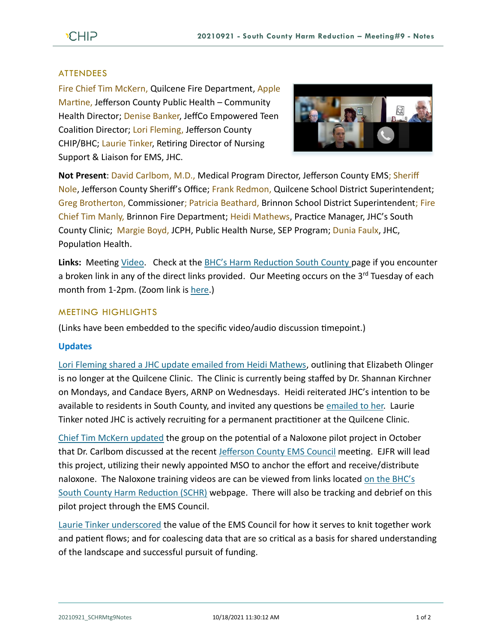## **ATTENDEES**

Fire Chief Tim McKern, Quilcene Fire Department, Apple Martine, Jefferson County Public Health – Community Health Director; Denise Banker, JeffCo Empowered Teen Coalition Director; Lori Fleming, Jefferson County CHIP/BHC; Laurie Tinker, Retiring Director of Nursing Support & Liaison for EMS, JHC.



**Not Present**: David Carlbom, M.D., Medical Program Director, Jefferson County EMS; Sheriff Nole, Jefferson County Sheriff's Office; Frank Redmon, Quilcene School District Superintendent; Greg Brotherton, Commissioner; Patricia Beathard, Brinnon School District Superintendent; Fire Chief Tim Manly, Brinnon Fire Department; Heidi Mathews, Practice Manager, JHC's South County Clinic; Margie Boyd, JCPH, Public Health Nurse, SEP Program; Dunia Faulx, JHC, Population Health.

**Links:** Meeting [Video.](https://www.youtube.com/watch?v=suLxL9CIGrk) Check at the [BHC's Harm Reduction South County p](https://www.behealthyjefferson.com/bhcharmreduction)age if you encounter a broken link in any of the direct links provided. Our Meeting occurs on the 3<sup>rd</sup> Tuesday of each month from 1-2pm. (Zoom link is [here.](https://zoom.us/j/97908186807?pwd=QTFtTTNJRkFnRzJwZ1poK2lvcWxUdz09))

## MEETING HIGHLIGHTS

(Links have been embedded to the specific video/audio discussion timepoint.)

## **Updates**

[Lori Fleming shared a JHC update emailed from Heidi Mathews,](https://youtu.be/suLxL9CIGrk?t=161) outlining that Elizabeth Olinger is no longer at the Quilcene Clinic. The Clinic is currently being staffed by Dr. Shannan Kirchner on Mondays, and Candace Byers, ARNP on Wednesdays. Heidi reiterated JHC's intention to be available to residents in South County, and invited any questions be [emailed to her.](mailto:hmathews@jeffersonhealthcare.org) Laurie Tinker noted JHC is actively recruiting for a permanent practitioner at the Quilcene Clinic.

[Chief Tim McKern updated](https://youtu.be/suLxL9CIGrk?t=376) the group on the potential of a Naloxone pilot project in October that Dr. Carlbom discussed at the recent [Jefferson County EMS](https://youtu.be/suLxL9CIGrk?t=504) Council meeting. EJFR will lead this project, utilizing their newly appointed MSO to anchor the effort and receive/distribute naloxone. The Naloxone training videos are can be viewed from links located on [the BHC's](https://www.behealthyjefferson.com/bhcharmreduction)  [South County Harm Reduction \(SCHR\)](https://www.behealthyjefferson.com/bhcharmreduction) webpage. There will also be tracking and debrief on this pilot project through the EMS Council.

[Laurie Tinker underscored](https://youtu.be/suLxL9CIGrk?t=655) the value of the EMS Council for how it serves to knit together work and patient flows; and for coalescing data that are so critical as a basis for shared understanding of the landscape and successful pursuit of funding.